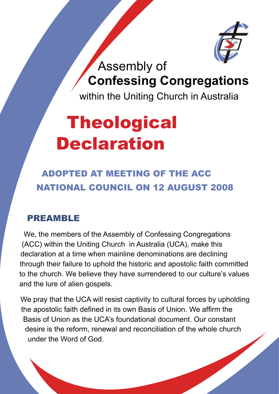

Assembly of **Confessing Congregations**

within the Uniting Church in Australia

# **Theological Declaration**

Adopted at meeting of the ACC National Council on 12 August 2008

#### PREAMBLE

We, the members of the Assembly of Confessing Congregations (ACC) within the Uniting Church in Australia (UCA), make this declaration at a time when mainline denominations are declining through their failure to uphold the historic and apostolic faith committed to the church. We believe they have surrendered to our culture's values and the lure of alien gospels.

We pray that the UCA will resist captivity to cultural forces by upholding the apostolic faith defined in its own Basis of Union. We affirm the Basis of Union as the UCA's foundational document. Our constant desire is the reform, renewal and reconciliation of the whole church under the Word of God.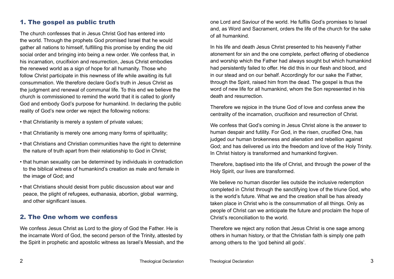### 1. The gospel as public truth

The church confesses that in Jesus Christ God has entered into the world. Through the prophets God promised Israel that he would gather all nations to himself, fulfilling this promise by ending the old social order and bringing into being a new order. We confess that, in his incarnation, crucifixion and resurrection, Jesus Christ embodies the renewed world as a sign of hope for all humanity. Those who follow Christ participate in this newness of life while awaiting its full consummation. We therefore declare God's truth in Jesus Christ as the judgment and renewal of communal life. To this end we believe the church is commissioned to remind the world that it is called to glorify God and embody God's purpose for humankind. In declaring the public reality of God's new order we reject the following notions:

• that Christianity is merely a system of private values;

- that Christianity is merely one among many forms of spirituality;
- that Christians and Christian communities have the right to determine the nature of truth apart from their relationship to God in Christ;
- that human sexuality can be determined by individuals in contradiction to the biblical witness of humankind's creation as male and female in the image of God; and
- that Christians should desist from public discussion about war and peace, the plight of refugees, euthanasia, abortion, global warming, and other significant issues.

#### 2. The One whom we confess

We confess Jesus Christ as Lord to the glory of God the Father. He is the incarnate Word of God, the second person of the Trinity, attested by the Spirit in prophetic and apostolic witness as Israel's Messiah, and the one Lord and Saviour of the world. He fulfils God's promises to Israel and, as Word and Sacrament, orders the life of the church for the sake of all humankind.

In his life and death Jesus Christ presented to his heavenly Father atonement for sin and the one complete, perfect offering of obedience and worship which the Father had always sought but which humankind had persistently failed to offer. He did this in our flesh and blood, and in our stead and on our behalf. Accordingly for our sake the Father, through the Spirit, raised him from the dead. The gospel is thus the word of new life for all humankind, whom the Son represented in his death and resurrection.

Therefore we rejoice in the triune God of love and confess anew the centrality of the incarnation, crucifixion and resurrection of Christ.

We confess that God's coming in Jesus Christ alone is the answer to human despair and futility. For God, in the risen, crucified One, has judged our human brokenness and alienation and rebellion against God; and has delivered us into the freedom and love of the Holy Trinity. In Christ history is transformed and humankind forgiven.

Therefore, baptised into the life of Christ, and through the power of the Holy Spirit, our lives are transformed.

We believe no human disorder lies outside the inclusive redemption completed in Christ through the sanctifying love of the triune God, who is the world's future. What we and the creation shall be has already taken place in Christ who is the consummation of all things. Only as people of Christ can we anticipate the future and proclaim the hope of Christ's reconciliation to the world.

Therefore we reject any notion that Jesus Christ is one sage among others in human history, or that the Christian faith is simply one path among others to the 'god behind all gods'.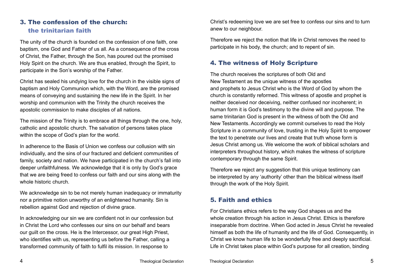# 3. The confession of the church: the trinitarian faith

The unity of the church is founded on the confession of one faith, one baptism, one God and Father of us all. As a consequence of the cross of Christ, the Father, through the Son, has poured out the promised Holy Spirit on the church. We are thus enabled, through the Spirit, to participate in the Son's worship of the Father.

Christ has sealed his undying love for the church in the visible signs of baptism and Holy Communion which, with the Word, are the promised means of conveying and sustaining the new life in the Spirit. In her worship and communion with the Trinity the church receives the apostolic commission to make disciples of all nations.

The mission of the Trinity is to embrace all things through the one, holy, catholic and apostolic church. The salvation of persons takes place within the scope of God's plan for the world.

In adherence to the Basis of Union we confess our collusion with sin individually, and the sins of our fractured and deficient communities of family, society and nation. We have participated in the church's fall into deeper unfaithfulness. We acknowledge that it is only by God's grace that we are being freed to confess our faith and our sins along with the whole historic church.

We acknowledge sin to be not merely human inadequacy or immaturity nor a primitive notion unworthy of an enlightened humanity. Sin is rebellion against God and rejection of divine grace.

In acknowledging our sin we are confident not in our confession but in Christ the Lord who confesses our sins on our behalf and bears our guilt on the cross. He is the Intercessor, our great High Priest, who identifies with us, representing us before the Father, calling a transformed community of faith to fulfil its mission. In response to

Christ's redeeming love we are set free to confess our sins and to turn anew to our neighbour.

Therefore we reject the notion that life in Christ removes the need to participate in his body, the church; and to repent of sin.

#### 4. The witness of Holy Scripture

The church receives the scriptures of both Old and New Testament as the unique witness of the apostles and prophets to Jesus Christ who is the Word of God by whom the church is constantly reformed. This witness of apostle and prophet is neither deceived nor deceiving, neither confused nor incoherent; in human form it is God's testimony to the divine will and purpose. The same trinitarian God is present in the witness of both the Old and New Testaments. Accordingly we commit ourselves to read the Holy Scripture in a community of love, trusting in the Holy Spirit to empower the text to penetrate our lives and create that truth whose form is Jesus Christ among us. We welcome the work of biblical scholars and interpreters throughout history, which makes the witness of scripture contemporary through the same Spirit.

Therefore we reject any suggestion that this unique testimony can be interpreted by any 'authority' other than the biblical witness itself through the work of the Holy Spirit.

#### 5. Faith and ethics

For Christians ethics refers to the way God shapes us and the whole creation through his action in Jesus Christ. Ethics is therefore inseparable from doctrine. When God acted in Jesus Christ he revealed himself as both the life of humanity and the life of God. Consequently, in Christ we know human life to be wonderfully free and deeply sacrificial. Life in Christ takes place within God's purpose for all creation, binding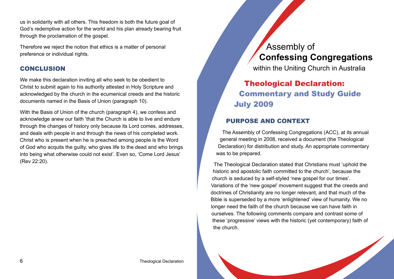us in solidarity with all others. This freedom is both the future goal of God's redemptive action for the world and his plan already bearing fruit through the proclamation of the gospel.

Therefore we reject the notion that ethics is a matter of personal preference or individual rights.

#### **CONCLUSION**

We make this declaration inviting all who seek to be obedient to Christ to submit again to his authority attested in Holy Scripture and acknowledged by the church in the ecumenical creeds and the historic documents named in the Basis of Union (paragraph 10).

With the Basis of Union of the church (paragraph 4), we confess and acknowledge anew our faith 'that the Church is able to live and endure through the changes of history only because its Lord comes, addresses, and deals with people in and through the news of his completed work. Christ who is present when he is preached among people is the Word of God who acquits the guilty, who gives life to the dead and who brings into being what otherwise could not exist'. Even so, 'Come Lord Jesus' (Rev 22:20).

# Assembly of **Confessing Congregations**

within the Uniting Church in Australia

# Theological Declaration: Commentary and Study Guide July 2009

# Purpose and context

The Assembly of Confessing Congregations (ACC), at its annual general meeting in 2008, received a document (the Theological Declaration) for distribution and study. An appropriate commentary was to be prepared.

The Theological Declaration stated that Christians must 'uphold the historic and apostolic faith committed to the church', because the church is seduced by a self-styled 'new gospel for our times'. Variations of the 'new gospel' movement suggest that the creeds and doctrines of Christianity are no longer relevant, and that much of the Bible is superseded by a more 'enlightened' view of humanity. We no longer need the faith of the church because we can have faith in ourselves. The following comments compare and contrast some of these 'progressive' views with the historic (yet contemporary) faith of the church.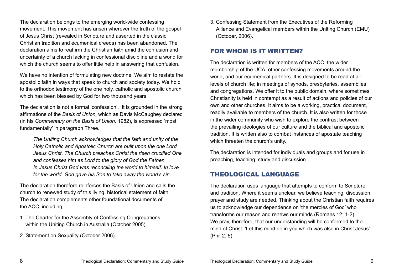The declaration belongs to the emerging world-wide confessing movement. This movement has arisen wherever the truth of the gospel of Jesus Christ (revealed in Scripture and asserted in the classic Christian tradition and ecumenical creeds) has been abandoned. The declaration aims to reaffirm the Christian faith amid the confusion and uncertainty of a church lacking in confessional discipline and a world for which the church seems to offer little help in answering that confusion.

We have no intention of formulating new doctrine. We aim to restate the apostolic faith in ways that speak to church and society today. We hold to the orthodox testimony of the one holy, catholic and apostolic church which has been blessed by God for two thousand years.

The declaration is not a formal 'confession'. It is grounded in the strong affirmations of the *Basis of Union,* which as Davis McCaughey declared (in his *Commentary on the Basis of Union,* 1982), is expressed 'most fundamentally' in paragraph Three.

*The Uniting Church acknowledges that the faith and unity of the Holy Catholic and Apostolic Church are built upon the one Lord Jesus Christ. The Church preaches Christ the risen crucified One and confesses him as Lord to the glory of God the Father. In Jesus Christ God was reconciling the world to himself. In love for the world, God gave his Son to take away the world's sin.*

The declaration therefore reinforces the Basis of Union and calls the church to renewed study of this living, historical statement of faith. The declaration complements other foundational documents of the ACC, including:

- 1. The Charter for the Assembly of Confessing Congregations within the Uniting Church in Australia (October 2005).
- 2. Statement on Sexuality (October 2006).

3. Confessing Statement from the Executives of the Reforming Alliance and Evangelical members within the Uniting Church (EMU) (October, 2006).

#### For whom is it written?

The declaration is written for members of the ACC, the wider membership of the UCA, other confessing movements around the world, and our ecumenical partners. It is designed to be read at all levels of church life; in meetings of synods, presbyteries, assemblies and congregations. We offer it to the public domain, where sometimes Christianity is held in contempt as a result of actions and policies of our own and other churches. It aims to be a working, practical document, readily available to members of the church. It is also written for those in the wider community who wish to explore the contrast between the prevailing ideologies of our culture and the biblical and apostolic tradition. It is written also to combat instances of apostate teaching which threaten the church's unity.

The declaration is intended for individuals and groups and for use in preaching, teaching, study and discussion.

# Theological language

The declaration uses language that attempts to conform to Scripture and tradition. Where it seems unclear, we believe teaching, discussion, prayer and study are needed. Thinking about the Christian faith requires us to acknowledge our dependence on 'the mercies of God' who transforms our reason and renews our minds (Romans 12: 1-2). We pray, therefore, that our understanding will be conformed to the mind of Christ. 'Let this mind be in you which was also in Christ Jesus' (Phil 2: 5).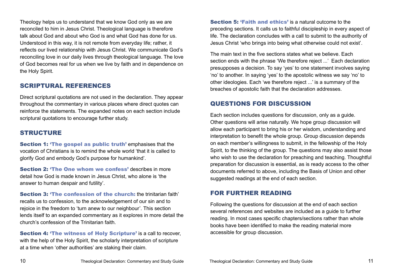Theology helps us to understand that we know God only as we are reconciled to him in Jesus Christ. Theological language is therefore talk about God and about who God is and what God has done for us. Understood in this way, it is not remote from everyday life; rather, it reflects our lived relationship with Jesus Christ. We communicate God's reconciling love in our daily lives through theological language. The love of God becomes real for us when we live by faith and in dependence on the Holy Spirit.

#### Scriptural references

Direct scriptural quotations are not used in the declaration. They appear throughout the commentary in various places where direct quotes can reinforce the statements. The expanded notes on each section include scriptural quotations to encourage further study.

#### **STRUCTURE**

Section 1: 'The gospel as public truth' emphasises that the vocation of Christians is to remind the whole world 'that it is called to glorify God and embody God's purpose for humankind'.

Section 2: 'The One whom we confess' describes in more detail how God is made known in Jesus Christ, who alone is 'the answer to human despair and futility'.

Section 3: 'The confession of the church: the trinitarian faith' recalls us to confession, to the acknowledgement of our sin and to rejoice in the freedom to 'turn anew to our neighbour'. This section lends itself to an expanded commentary as it explores in more detail the church's confession of the Trinitarian faith.

Section 4: 'The witness of Holy Scripture' is a call to recover, with the help of the Holy Spirit, the scholarly interpretation of scripture at a time when 'other authorities' are staking their claim.

Section 5: 'Faith and ethics' is a natural outcome to the preceding sections. It calls us to faithful discipleship in every aspect of life. The declaration concludes with a call to submit to the authority of Jesus Christ 'who brings into being what otherwise could not exist'.

The main text in the five sections states what we believe. Each section ends with the phrase 'We therefore reject ...' Each declaration presupposes a decision. To say 'yes' to one statement involves saying 'no' to another. In saying 'yes' to the apostolic witness we say 'no' to other ideologies. Each 'we therefore reject ...' is a summary of the breaches of apostolic faith that the declaration addresses.

#### Questions for discussion

Each section includes questions for discussion, only as a guide. Other questions will arise naturally. We hope group discussion will allow each participant to bring his or her wisdom, understanding and interpretation to benefit the whole group. Group discussion depends on each member's willingness to submit, in the fellowship of the Holy Spirit, to the thinking of the group. The questions may also assist those who wish to use the declaration for preaching and teaching. Thoughtful preparation for discussion is essential, as is ready access to the other documents referred to above, including the Basis of Union and other suggested readings at the end of each section.

#### For further reading

Following the questions for discussion at the end of each section several references and websites are included as a guide to further reading. In most cases specific chapters/sections rather than whole books have been identified to make the reading material more accessible for group discussion.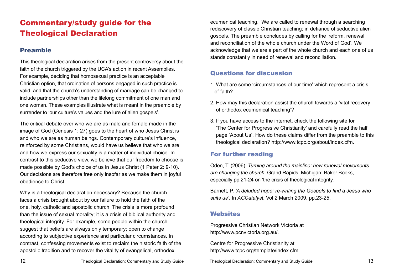# Commentary/study guide for the Theological Declaration

# Preamble

This theological declaration arises from the present controversy about the faith of the church triggered by the UCA's action in recent Assemblies. For example, deciding that homosexual practice is an acceptable Christian option, that ordination of persons engaged in such practice is valid, and that the church's understanding of marriage can be changed to include partnerships other than the lifelong commitment of one man and one woman. These examples illustrate what is meant in the preamble by surrender to 'our culture's values and the lure of alien gospels'.

The critical debate over who we are as male and female made in the image of God (Genesis 1: 27) goes to the heart of who Jesus Christ is and who we are as human beings. Contemporary culture's influence, reinforced by some Christians, would have us believe that who we are and how we express our sexuality is a matter of individual choice. In contrast to this seductive view, we believe that our freedom to choose is made possible by God's choice of us in Jesus Christ (1 Peter 2: 9-10). Our decisions are therefore free only insofar as we make them in joyful obedience to Christ.

Why is a theological declaration necessary? Because the church faces a crisis brought about by our failure to hold the faith of the one, holy, catholic and apostolic church. The crisis is more profound than the issue of sexual morality; it is a crisis of biblical authority and theological integrity. For example, some people within the church suggest that beliefs are always only temporary; open to change according to subjective experience and particular circumstances. In contrast, confessing movements exist to reclaim the historic faith of the apostolic tradition and to recover the vitality of evangelical, orthodox

ecumenical teaching. We are called to renewal through a searching rediscovery of classic Christian teaching; in defiance of seductive alien gospels. The preamble concludes by calling for the 'reform, renewal and reconciliation of the whole church under the Word of God'. We acknowledge that we are a part of the whole church and each one of us stands constantly in need of renewal and reconciliation.

# Questions for discussion

- 1. What are some 'circumstances of our time' which represent a crisis of faith?
- 2. How may this declaration assist the church towards a 'vital recovery of orthodox ecumenical teaching'?
- 3. If you have access to the internet, check the following site for 'The Center for Progressive Christianity' and carefully read the half page 'About Us'. How do these claims differ from the preamble to this theological declaration? http://www.tcpc.org/about/index.cfm.

# For further reading

Oden, T. (2006). *Turning around the mainline: how renewal movements are changing the church.* Grand Rapids, Michigan: Baker Books, especially pp.21-24 on 'the crisis of theological integrity.

Barnett, P. *'A deluded hope: re-writing the Gospels to find a Jesus who suits us'.* In *ACCatalyst*, Vol 2 March 2009, pp.23-25.

#### **Websites**

Progressive Christian Network Victoria at http://www.pcnvictoria.org.au/.

Centre for Progressive Christianity at http://www.tcpc.org/template/index.cfm.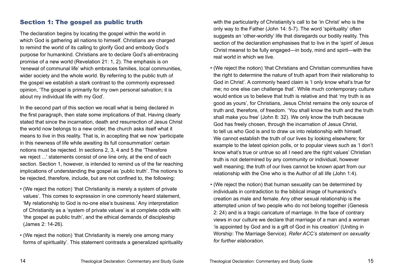#### Section 1: The gospel as public truth

The declaration begins by locating the gospel within the world in which God is gathering all nations to himself. Christians are charged to remind the world of its calling to glorify God and embody God's purpose for humankind. Christians are to declare God's all-embracing promise of a new world (Revelation 21: 1, 2). The emphasis is on 'renewal of communal life' which embraces families, local communities, wider society and the whole world. By referring to the public truth of the gospel we establish a stark contrast to the commonly expressed opinion, 'The gospel is primarily for my own personal salvation; it is about my individual life with my God'.

In the second part of this section we recall what is being declared in the first paragraph, then state some implications of that. Having clearly stated that since the incarnation, death and resurrection of Jesus Christ the world now belongs to a new order, the church asks itself what it means to live in this reality. That is, in accepting that we now 'participate in this newness of life while awaiting its full consummation' certain notions must be rejected. In sections 2, 3, 4 and 5 the 'Therefore we reject ...' statements consist of one line only, at the end of each section. Section 1, however, is intended to remind us of the far reaching implications of understanding the gospel as 'public truth'. The notions to be rejected, therefore, include, but are not confined to, the following:

- (We reject the notion) 'that Christianity is merely a system of private values'. This comes to expression in one commonly heard statement, 'My relationship to God is no-one else's business.' Any interpretation of Christianity as a 'system of private values' is at complete odds with 'the gospel as public truth', and the ethical demands of discipleship (James 2: 14-26).
- (We reject the notion) 'that Christianity is merely one among many forms of spirituality'. This statement contrasts a generalized spirituality

with the particularity of Christianity's call to be 'in Christ' who is the only way to the Father (John 14: 5-7). The word 'spirituality' often suggests an 'other-worldly' life that disregards our bodily reality. This section of the declaration emphasises that to live in the 'spirit' of Jesus Christ meanst to be fully engaged—in body, mind and spirit—with the real world in which we live.

- (We reject the notion) 'that Christians and Christian communities have the right to determine the nature of truth apart from their relationship to God in Christ'. A commonly heard claim is 'I only know what's true for me; no one else can challenge that'. While much contemporary culture would entice us to believe that truth is relative and that 'my truth is as good as yours', for Christians, Jesus Christ remains the only source of truth and, therefore, of freedom. 'You shall know the truth and the truth shall make you free' (John 8: 32). We only know the truth because God has freely chosen, through the incarnation of Jesus Christ, to tell us who God is and to draw us into relationship with himself. We cannot establish the truth of our lives by looking elsewhere; for example to the latest opinion polls, or to popular views such as 'I don't know what's true or untrue so all I need are the right values' Christian truth is not determined by any community or individual, however well meaning; the truth of our lives cannot be known apart from our relationship with the One who is the Author of all life (John 1:4).
- (We reject the notion) that human sexuality can be determined by individuals in contradiction to the biblical image of humankind's creation as male and female. Any other sexual relationship is the attempted union of two people who do not belong together (Genesis 2: 24) and is a tragic caricature of marriage. In the face of contrary views in our culture we declare that marriage of a man and a woman 'is appointed by God and is a gift of God in his creation' (Uniting in Worship: The Marriage Service). *Refer ACC's statement on sexuality for further elaboration.*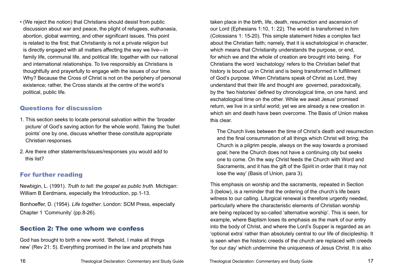• (We reject the notion) that Christians should desist from public discussion about war and peace, the plight of refugees, euthanasia, abortion, global warming, and other significant issues. This point is related to the first; that Christianity is not a private religion but is directly engaged with all matters affecting the way we live—in family life, communal life, and political life; together with our national and international relationships. To live responsibly as Christians is thoughtfully and prayerfully to engage with the issues of our time. Why? Because the Cross of Christ is not on the periphery of personal existence; rather, the Cross stands at the centre of the world's political, public life.

#### Questions for discussion

- 1. This section seeks to locate personal salvation within the 'broader picture' of God's saving action for the whole world. Taking the 'bullet points' one by one, discuss whether these constitute appropriate Christian responses.
- 2. Are there other statements/issues/responses you would add to this list?

# For further reading

Newbigin, L. (1991). *Truth to tell: the gospel as public truth.* Michigan: William B Eerdmans, especially the Introduction, pp.1-13.

Bonhoeffer, D. (1954). *Life together*. London: SCM Press, especially Chapter 1 'Community' (pp.8-26).

#### Section 2: The one whom we confess

God has brought to birth a new world. 'Behold, I make all things new' (Rev 21: 5). Everything promised in the law and prophets has

taken place in the birth, life, death, resurrection and ascension of our Lord (Ephesians 1:10, 1: 22). The world is transformed in him (Colossians 1: 15-20). This simple statement hides a complex fact about the Christian faith; namely, that it is eschatological in character, which means that Christianity understands the purpose, or end, for which we and the whole of creation are brought into being. For Christians the word 'eschatology' refers to the Christian belief that history is bound up in Christ and is being transformed in fulfillment of God's purpose. When Christians speak of Christ as Lord, they understand that their life and thought are governed, paradoxically, by the 'two histories' defined by chronological time, on one hand, and eschatological time on the other. While we await Jesus' promised return, we live in a sinful world; yet we are already a new creation in which sin and death have been overcome. The Basis of Union makes this clear.

The Church lives between the time of Christ's death and resurrection and the final consummation of all things which Christ will bring; the Church is a pilgrim people, always on the way towards a promised goal; here the Church does not have a continuing city but seeks one to come. On the way Christ feeds the Church with Word and Sacraments, and it has the gift of the Spirit in order that it may not lose the way' (Basis of Union, para 3).

This emphasis on worship and the sacraments, repeated in Section 3 (below), is a reminder that the ordering of the church's life bears witness to our calling. Liturgical renewal is therefore urgently needed. particularly where the characteristic elements of Christian worship are being replaced by so-called 'alternative worship'. This is seen, for example, where Baptism loses its emphasis as the mark of our entry into the body of Christ, and where the Lord's Supper is regarded as an 'optional extra' rather than absolutely central to our life of discipleship. It is seen when the historic creeds of the church are replaced with creeds 'for our day' which undermine the uniqueness of Jesus Christ. It is also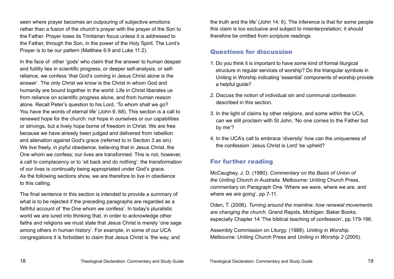seen where prayer becomes an outpouring of subjective emotions rather than a fusion of the church's prayer with the prayer of the Son to the Father. Prayer loses its Trinitarian focus unless it is addressed to the Father, through the Son, in the power of the Holy Spirit. The Lord's Prayer is to be our pattern (Matthew 6:9 and Luke 11:2).

In the face of other 'gods' who claim that the answer to human despair and futility lies in scientific progress, or deeper self-analysis, or selfreliance, we confess 'that God's coming in Jesus Christ alone is the answer'. The only Christ we know is the Christ in whom God and humanity are bound together in the world. Life in Christ liberates us from reliance on scientific progress alone, and from human reason alone. Recall Peter's question to his Lord, 'To whom shall we go? You have the words of eternal life' (John 6: 68). This section is a call to renewed hope for the church: not hope in ourselves or our capabilities or strivings, but a lively hope borne of freedom in Christ. We are free because we have already been judged and delivered from rebellion and alienation against God's grace (referred to in Section 3 as sin). We live freely, in joyful obedience, believing that in Jesus Christ, the One whom we confess; our lives are transformed. This is not, however, a call to complacency or to 'sit back and do nothing'; the transformation of our lives is continually being appropriated under God's grace. As the following sections show, we are therefore to live in obedience to this calling.

The final sentence in this section is intended to provide a summary of what is to be rejected if the preceding paragraphs are regarded as a faithful account of 'the One whom we confess'. In today's pluralistic world we are lured into thinking that, in order to acknowledge other faiths and religions we must state that Jesus Christ is merely 'one sage among others in human history'. For example, in some of our UCA congregations it is forbidden to claim that Jesus Christ is 'the way, and

the truth and the life' (John 14: 6). The inference is that for some people this claim is too exclusive and subject to misinterpretation; it should therefore be omitted from scripture readings.

#### Questions for discussion

- 1. Do you think it is important to have some kind of formal liturgical structure in regular services of worship? Do the triangular symbols in Uniting in Worship indicating 'essential' components of worship provide a helpful quide?
- 2. Discuss the notion of individual sin and communal confession described in this section.
- 3. In the light of claims by other religions, and some within the UCA, can we still proclaim with St John, 'No one comes to the Father but by me'?
- 4. In the UCA's call to embrace 'diversity' how can the uniqueness of the confession 'Jesus Christ is Lord' be upheld?

# For further reading

McCaughey, J. D. (1980). *Commentary on the Basis of Union of the Uniting Church in Australia.* Melbourne: Uniting Church Press, commentary on Paragraph One 'Where we were, where we are, and where we are going', pp.7-11.

Oden, T. (2006). *Turning around the mainline: how renewal movements are changing the church.* Grand Rapids, Michigan: Baker Books, especially Chapter 14 'The biblical teaching of confession', pp.179-196.

Assembly Commission on Liturgy. (1988). *Uniting in Worship.* Melbourne: Uniting Church Press and *Uniting in Worship 2* (2005).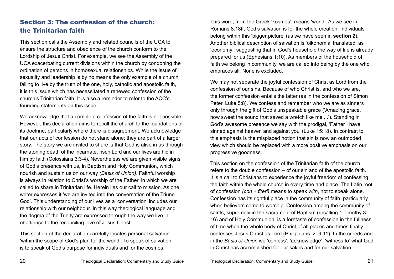# Section 3: The confession of the church: the Trinitarian faith

This section calls the Assembly and related councils of the UCA to ensure the structure and obedience of the church conform to the Lordship of Jesus Christ. For example, we see the Assembly of the UCA exacerbating current divisions within the church by condoning the ordination of persons in homosexual relationships. While the issue of sexuality and leadership is by no means the only example of a church failing to live by the truth of the one, holy, catholic and apostolic faith, it is this issue which has necessitated a renewed confession of the church's Trinitarian faith. It is also a reminder to refer to the ACC's founding statements on this issue.

We acknowledge that a complete confession of the faith is not possible. However, this declaration aims to recall the church to the foundations of its doctrine, particularly where there is disagreement. We acknowledge that our acts of confession do not stand alone; they are part of a larger story. The story we are invited to share is that God is alive in us through the atoning death of the incarnate, risen Lord and our lives are hid in him by faith (Colossians 3:3-4). Nevertheless we are given visible signs of God's presence with us, in Baptism and Holy Communion, which nourish and sustain us on our way *(Basis of Union)*. Faithful worship is always in relation to Christ's worship of the Father, in which we are called to share in Trinitarian life. Herein lies our call to mission. As one writer expresses it 'we are invited into the conversation of the Triune God'. This understanding of our lives as a 'conversation' includes our relationship with our neighbour. In this way theological language and the dogma of the Trinity are expressed through the way we live in obedience to the reconciling love of Jesus Christ.

This section of the declaration carefully locates personal salvation 'within the scope of God's plan for the world'. To speak of salvation is to speak of God's purpose for individuals and for the cosmos.

This word, from the Greek 'kosmos', means 'world'. As we see in Romans 8:18ff, God's salvation is for the whole creation. Individuals belong within this 'bigger picture' (as we have seen in **section 2**). Another biblical description of salvation is 'oikonomia' translated as 'economy', suggesting that in God's household the way of life is already prepared for us (Ephesians 1:10). As members of the household of faith we belong in community, we are called into being by the one who embraces all. None is excluded.

We may not separate the joyful confession of Christ as Lord from the confession of our sins. Because of who Christ is, and who we are, the former confession entails the latter (as in the confession of Simon Peter, Luke 5:8). We confess and remember who we are as sinners only through the gift of God's unspeakable grace ('Amazing grace, how sweet the sound that saved a wretch like me ...'). Standing in God's awesome presence we say with the prodigal, 'Father I have sinned against heaven and against you' (Luke 15:18). In contrast to this emphasis is the misplaced notion that sin is now an outmoded view which should be replaced with a more positive emphasis on our progressive goodness.

This section on the confession of the Trinitarian faith of the church refers to the double confession – of our sin and of the apostolic faith. It is a call to Christians to experience the joyful freedom of confessing the faith within the whole church in every time and place. The Latin root of confession *(con + fiteri)* means to speak *with*, not to speak alone. Confession has its rightful place in the community of faith, particularly when believers come to worship. Confession among the community of saints, supremely in the sacrament of Baptism (recalling 1 Timothy 3: 16) and of Holy Communion, is a foretaste of confession in the fullness of time when the whole body of Christ of all places and times finally confesses Jesus Christ as Lord (Philippians. 2: 9-11). In the creeds and in the *Basis of Union* we 'confess', 'acknowledge', 'witness to' what God in Christ has accomplished for our sakes and for our salvation.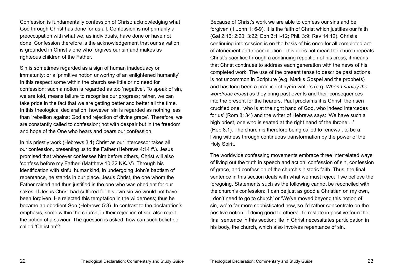Confession is fundamentally confession of Christ: acknowledging what God through Christ has done for us all. Confession is not primarily a preoccupation with what we, as individuals, have done or have not done. Confession therefore is the acknowledgement that our salvation is grounded in Christ alone who forgives our sin and makes us righteous children of the Father.

Sin is sometimes regarded as a sign of human inadequacy or immaturity; or a 'primitive notion unworthy of an enlightened humanity'. In this respect some within the church see little or no need for confession; such a notion is regarded as too 'negative'. To speak of sin, we are told, means failure to recognise our progress; rather, we can take pride in the fact that we are getting better and better all the time. In this theological declaration, however, sin is regarded as nothing less than 'rebellion against God and rejection of divine grace'. Therefore, we are constantly called to confession; not with despair but in the freedom and hope of the One who hears and bears our confession.

In his priestly work (Hebrews 3:1) Christ as our intercessor takes all our confession, presenting us to the Father (Hebrews 4:14 ff.). Jesus promised that whoever confesses him before others, Christ will also 'confess before my Father' (Matthew 10:32 NKJV). Through his identification with sinful humankind, in undergoing John's baptism of repentance, he stands in our place. Jesus Christ, the one whom the Father raised and thus justified is the one who was obedient for our sakes. If Jesus Christ had suffered for his own sin we would not have been forgiven. He rejected this temptation in the wilderness; thus he became an obedient Son (Hebrews 5:8). In contrast to the declaration's emphasis, some within the church, in their rejection of sin, also reject the notion of a saviour. The question is asked, how can such belief be called 'Christian'?

Because of Christ's work we are able to confess our sins and be forgiven (1 John 1: 6-9). It is the faith of Christ which justifies our faith (Gal 2:16; 2:20; 3:22; Eph 3:11-12; Phil. 3:9; Rev 14:12). Christ's continuing intercession is on the basis of his once for all completed act of atonement and reconciliation. This does not mean the church repeats Christ's sacrifice through a continuing repetition of his cross; it means that Christ continues to address each generation with the news of his completed work. The use of the present tense to describe past actions is not uncommon in Scripture (e.g. Mark's Gospel and the prophets) and has long been a practice of hymn writers (e.g. *When I survey the wondrous cross*) as they bring past events and their consequences into the present for the hearers. Paul proclaims it is Christ, the risen crucified one, 'who is at the right hand of God, who indeed intercedes for us' (Rom 8: 34) and the writer of Hebrews says: 'We have such a high priest, one who is seated at the right hand of the throne ...' (Heb 8:1). The church is therefore being called to renewal, to be a living witness through continuous transformation by the power of the Holy Spirit.

The worldwide confessing movements embrace three interrelated ways of living out the truth in speech and action: confession of sin, confession of grace, and confession of the church's historic faith. Thus, the final sentence in this section deals with what we must reject if we believe the foregoing. Statements such as the following cannot be reconciled with the church's confession: 'I can be just as good a Christian on my own, I don't need to go to church' or 'We've moved beyond this notion of sin, we're far more sophisticated now, so I'd rather concentrate on the positive notion of doing good to others'. To restate in positive form the final sentence in this section: life in Christ necessitates participation in his body, the church, which also involves repentance of sin.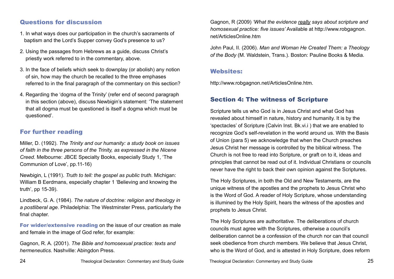#### Questions for discussion

- 1. In what ways does our participation in the church's sacraments of baptism and the Lord's Supper convey God's presence to us?
- 2. Using the passages from Hebrews as a guide, discuss Christ's priestly work referred to in the commentary, above.
- 3. In the face of beliefs which seek to downplay (or abolish) any notion of sin, how may the church be recalled to the three emphases referred to in the final paragraph of the commentary on this section?
- 4. Regarding the 'dogma of the Trinity' (refer end of second paragraph in this section (above), discuss Newbigin's statement: 'The statement that all dogma must be questioned is itself a dogma which must be questioned'.

### For further reading

Miller, D. (1992). *The Trinity and our humanity: a study book on issues of faith in the three persons of the Trinity, as expressed in the Nicene Creed.* Melbourne: JBCE Specialty Books, especially Study 1, 'The Communion of Love', pp.11-16)

Newbigin, L (1991). *Truth to tell: the gospel as public truth.* Michigan: William B Eerdmans, especially chapter 1 'Believing and knowing the truth', pp 15-39).

Lindbeck, G. A. (1984). *The nature of doctrine: religion and theology in a postliberal age*. Philadelphia: The Westminster Press, particularly the final chapter.

For wider/extensive reading on the issue of our creation as male and female in the image of God refer, for example:

Gagnon, R. A. (2001). *The Bible and homosexual practice: texts and hermeneutics.* Nashville: Abingdon Press.

Gagnon, R (2009) *'What the evidence really says about scripture and homosexual practice: five issues'* Available at http://www.robgagnon. net/ArticlesOnline.htm

John Paul, II. (2006). *Man and Woman He Created Them: a Theology of the Body* (M. Waldstein, Trans.). Boston: Pauline Books & Media.

#### Websites:

http://www.robgagnon.net/ArticlesOnline.htm.

# Section 4: The witness of Scripture

Scripture tells us who God is in Jesus Christ and what God has revealed about himself in nature, history and humanity. It is by the 'spectacles' of Scripture (Calvin Inst. Bk.vi.i ) that we are enabled to recognize God's self-revelation in the world around us. With the Basis of Union (para 5) we acknowledge that when the Church preaches Jesus Christ her message is controlled by the biblical witness. The Church is not free to read into Scripture, or graft on to it, ideas and principles that cannot be read out of it. Individual Christians or councils never have the right to back their own opinion against the Scriptures.

The Holy Scriptures, in both the Old and New Testaments, are the unique witness of the apostles and the prophets to Jesus Christ who is the Word of God. A reader of Holy Scripture, whose understanding is illumined by the Holy Spirit, hears the witness of the apostles and prophets to Jesus Christ.

The Holy Scriptures are authoritative. The deliberations of church councils must agree with the Scriptures, otherwise a council's deliberation cannot be a confession of the church nor can that council seek obedience from church members. We believe that Jesus Christ, who is the Word of God, and is attested in Holy Scripture, does reform

24 Theological Declaration: Commentary and Study Guide Theological Declaration: Commentary and Study Guide 25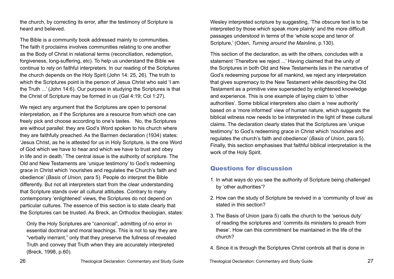the church, by correcting its error, after the testimony of Scripture is heard and believed.

The Bible is a community book addressed mainly to communities. The faith it proclaims involves communities relating to one another as the Body of Christ in relational terms (reconciliation, redemption, forgiveness, long-suffering, etc). To help us understand the Bible we continue to rely on faithful interpreters. In our reading of the Scriptures the church depends on the Holy Spirit (John 14: 25, 26). The truth to which the Scriptures point is the person of Jesus Christ who said 'I am the Truth ...' (John 14:6). Our purpose in studying the Scriptures is that the Christ of Scripture may be formed in us (Gal 4:19; Col 1:27).

We reject any argument that the Scriptures are open to personal interpretation, as if the Scriptures are a resource from which one can freely pick and choose according to one's tastes. No, the Scriptures are without parallel: they are God's Word spoken to his church where they are faithfully preached. As the Barmen declaration (1934) states: 'Jesus Christ, as he is attested for us in Holy Scripture, is the one Word of God which we have to hear and which we have to trust and obey in life and in death.' The central issue is the authority of scripture. The Old and New Testaments are 'unique testimony' to God's redeeming grace in Christ which 'nourishes and regulates the Church's faith and obedience' (*Basis of Union*, para 5). People do interpret the Bible differently. But not all interpreters start from the clear understanding that Scripture stands over all cultural attitudes. Contrary to many contemporary 'enlightened' views, the Scriptures do not depend on particular cultures. The essence of this section is to state clearly that the Scriptures can be trusted. As Breck, an Orthodox theologian, states:

Only the Holy Scriptures are "canonical", admitting of no error in essential doctrinal and moral teachings. This is not to say they are "verbally inerrant," only that they preserve the fullness of revealed Truth and convey that Truth when they are accurately interpreted (Breck, 1998, p.60).

Wesley interpreted scripture by suggesting, 'The obscure text is to be interpreted by those which speak more plainly' and the more difficult passages understood in terms of the 'whole scope and tenor of Scripture,' (Oden, *Turning around the Mainline*, p.130).

This section of the declaration, as with the others, concludes with a statement 'Therefore we reject ...' Having claimed that the unity of the Scriptures in both Old and New Testaments lies in the narrative of God's redeeming purpose for all mankind, we reject any interpretation that gives supremacy to the New Testament while describing the Old Testament as a primitive view superseded by enlightened knowledge and experience. This is one example of laying claim to 'other authorities'. Some biblical interpreters also claim a 'new authority' based on a 'more informed' view of human nature, which suggests the biblical witness now needs to be interpreted in the light of these cultural claims. The declaration clearly states that the Scriptures are 'unique testimony' to God's redeeming grace in Christ which 'nourishes and regulates the church's faith and obedience' (*Basis of Union*, para 5). Finally, this section emphasises that faithful biblical interpretation is the work of the Holy Spirit.

#### Questions for discussion

- 1. In what ways do you see the authority of Scripture being challenged by 'other authorities'?
- 2. How can the study of Scripture be revived in a 'community of love' as stated in this section?
- 3. The Basis of Union (para 5) calls the church to the 'serious duty' of reading the scriptures and 'commits its ministers to preach from these'. How can this commitment be maintained in the life of the church?
- 4. Since it is through the Scriptures Christ controls all that is done in

26 Theological Declaration: Commentary and Study Guide Theological Declaration: Commentary and Study Guide 27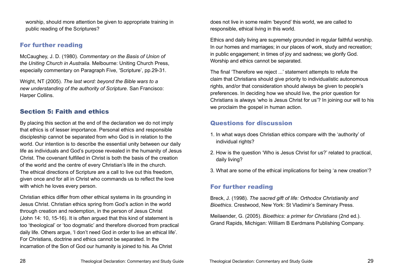worship, should more attention be given to appropriate training in public reading of the Scriptures?

#### For further reading

McCaughey, J. D. (1980). *Commentary on the Basis of Union of the Uniting Church in Australia.* Melbourne: Uniting Church Press, especially commentary on Paragraph Five, 'Scripture', pp.29-31.

Wright, NT (2005). *The last word: beyond the Bible wars to a new understanding of the authority of Scripture.* San Francisco: Harper Collins.

# Section 5: Faith and ethics

By placing this section at the end of the declaration we do not imply that ethics is of lesser importance. Personal ethics and responsible discipleship cannot be separated from who God is in relation to the world. Our intention is to describe the essential unity between our daily life as individuals and God's purpose revealed in the humanity of Jesus Christ. The covenant fulfilled in Christ is both the basis of the creation of the world and the centre of every Christian's life in the church. The ethical directions of Scripture are a call to live out this freedom, given once and for all in Christ who commands us to reflect the love with which he loves every person.

Christian ethics differ from other ethical systems in its grounding in Jesus Christ. Christian ethics spring from God's action in the world through creation and redemption, in the person of Jesus Christ (John 14: 10, 15-16). It is often argued that this kind of statement is too 'theological' or 'too dogmatic' and therefore divorced from practical daily life. Others argue, 'I don't need God in order to live an ethical life'. For Christians, doctrine and ethics cannot be separated. In the incarnation of the Son of God our humanity is joined to his. As Christ

does not live in some realm 'beyond' this world, we are called to responsible, ethical living in this world.

Ethics and daily living are supremely grounded in regular faithful worship. In our homes and marriages; in our places of work, study and recreation; in public engagement; in times of joy and sadness; we glorify God. Worship and ethics cannot be separated.

The final 'Therefore we reject ...' statement attempts to refute the claim that Christians should give priority to individualistic autonomous rights, and/or that consideration should always be given to people's preferences. In deciding how we should live, the prior question for Christians is always 'who is Jesus Christ for us'? In joining our will to his we proclaim the gospel in human action.

### Questions for discussion

- 1. In what ways does Christian ethics compare with the 'authority' of individual rights?
- 2. How is the question 'Who is Jesus Christ for us?' related to practical, daily living?
- 3. What are some of the ethical implications for being 'a new creation'?

# For further reading

Breck, J. (1998). *The sacred gift of life: Orthodox Christianity and Bioethics*. Crestwood, New York: St Vladimir's Seminary Press.

Meilaender, G. (2005). *Bioethics: a primer for Christians* (2nd ed.). Grand Rapids, Michigan: William B Eerdmans Publishing Company.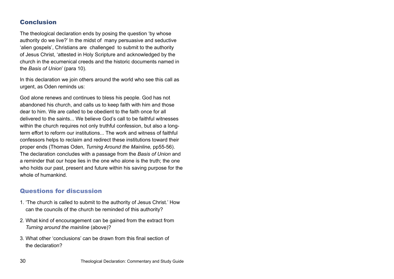#### Conclusion

The theological declaration ends by posing the question 'by whose authority do we live?' In the midst of many persuasive and seductive 'alien gospels', Christians are challenged to submit to the authority of Jesus Christ, 'attested in Holy Scripture and acknowledged by the church in the ecumenical creeds and the historic documents named in the *Basis of Union*' (para 10).

In this declaration we join others around the world who see this call as urgent, as Oden reminds us:

God alone renews and continues to bless his people. God has not abandoned his church, and calls us to keep faith with him and those dear to him. We are called to be obedient to the faith once for all delivered to the saints... We believe God's call to be faithful witnesses within the church requires not only truthful confession, but also a longterm effort to reform our institutions... The work and witness of faithful confessors helps to reclaim and redirect these institutions toward their proper ends (Thomas Oden, *Turning Around the Mainline,* pp55-56). The declaration concludes with a passage from the *Basis of Union* and a reminder that our hope lies in the one who alone is the truth; the one who holds our past, present and future within his saving purpose for the whole of humankind.

#### Questions for discussion

- 1. 'The church is called to submit to the authority of Jesus Christ.' How can the councils of the church be reminded of this authority?
- 2. What kind of encouragement can be gained from the extract from *Turning around the mainline* (above)?
- 3. What other 'conclusions' can be drawn from this final section of the declaration?